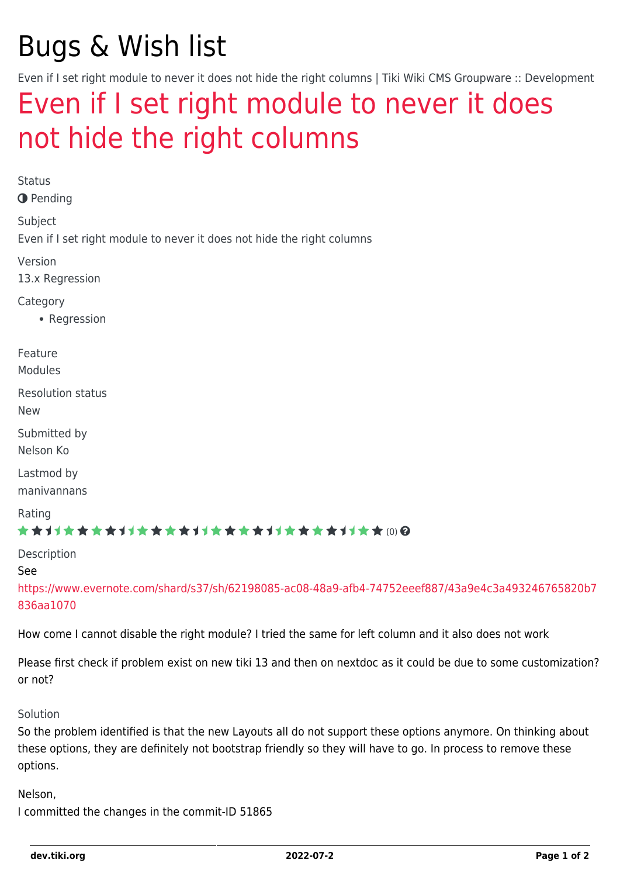# Bugs & Wish list

Even if I set right module to never it does not hide the right columns | Tiki Wiki CMS Groupware :: Development

## [Even if I set right module to never it does](https://dev.tiki.org/item5267-Even-if-I-set-right-module-to-never-it-does-not-hide-the-right-columns) [not hide the right columns](https://dev.tiki.org/item5267-Even-if-I-set-right-module-to-never-it-does-not-hide-the-right-columns)

Status **O** Pending Subject Even if I set right module to never it does not hide the right columns Version 13.x Regression **Category** • Regression Feature Modules Resolution status New Submitted by Nelson Ko Lastmod by manivannans Rating \*\*\*\*\*\*\*\*\*\*\*\*\*\*\*\*\*\*\*\*\*\*\*\*\*\*\*\*\*\* Description See [https://www.evernote.com/shard/s37/sh/62198085-ac08-48a9-afb4-74752eeef887/43a9e4c3a493246765820b7](https://www.evernote.com/shard/s37/sh/62198085-ac08-48a9-afb4-74752eeef887/43a9e4c3a493246765820b7836aa1070) [836aa1070](https://www.evernote.com/shard/s37/sh/62198085-ac08-48a9-afb4-74752eeef887/43a9e4c3a493246765820b7836aa1070)

How come I cannot disable the right module? I tried the same for left column and it also does not work

Please first check if problem exist on new tiki 13 and then on nextdoc as it could be due to some customization? or not?

#### Solution

So the problem identified is that the new Layouts all do not support these options anymore. On thinking about these options, they are definitely not bootstrap friendly so they will have to go. In process to remove these options.

Nelson, I committed the changes in the commit-ID 51865